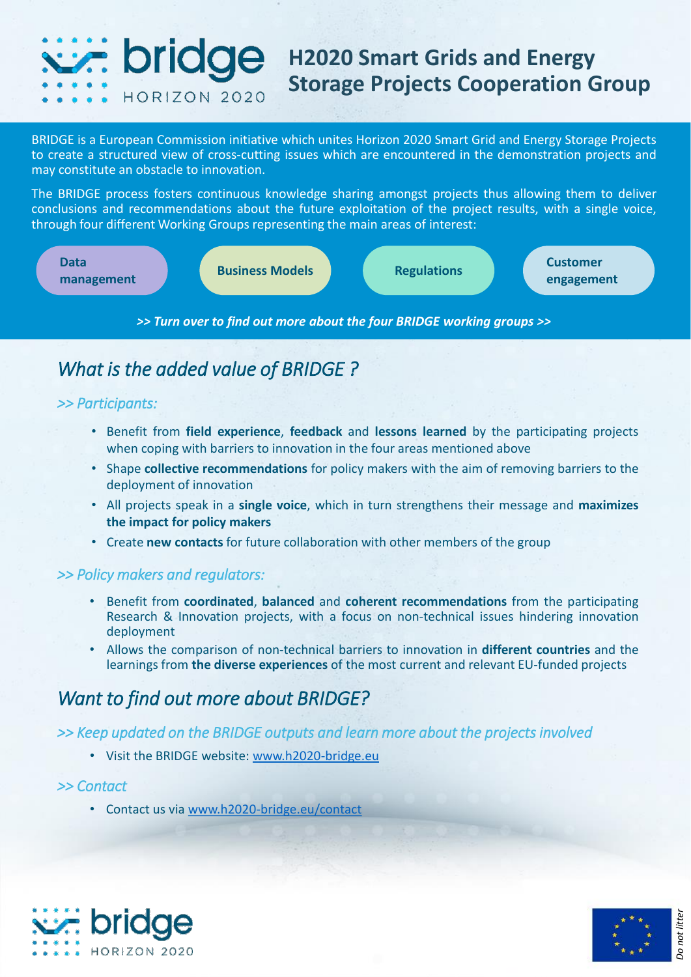#### *<u>C.*</u> bridge **H2020 Smart Grids and Energy Storage Projects Cooperation Group HORIZON 2020**

BRIDGE is a European Commission initiative which unites Horizon 2020 Smart Grid and Energy Storage Projects to create a structured view of cross-cutting issues which are encountered in the demonstration projects and may constitute an obstacle to innovation.

The BRIDGE process fosters continuous knowledge sharing amongst projects thus allowing them to deliver conclusions and recommendations about the future exploitation of the project results, with a single voice, through four different Working Groups representing the main areas of interest:



## *What is the added value of BRIDGE ?*

### *>> Participants:*

- Benefit from **field experience**, **feedback** and **lessons learned** by the participating projects when coping with barriers to innovation in the four areas mentioned above
- Shape **collective recommendations** for policy makers with the aim of removing barriers to the deployment of innovation
- All projects speak in a **single voice**, which in turn strengthens their message and **maximizes the impact for policy makers**
- Create **new contacts** for future collaboration with other members of the group

### *>> Policy makers and regulators:*

- Benefit from **coordinated**, **balanced** and **coherent recommendations** from the participating Research & Innovation projects, with a focus on non-technical issues hindering innovation deployment
- Allows the comparison of non-technical barriers to innovation in **different countries** and the learnings from **the diverse experiences** of the most current and relevant EU-funded projects

## *Want to find out more about BRIDGE?*

*>> Keep updated on the BRIDGE outputs and learn more about the projects involved* 

• Visit the BRIDGE website: [www.h2020-bridge.eu](http://www.h2020-bridge.eu/)

### *>> Contact*

• Contact us via [www.h2020-bridge.eu/contact](http://www.h2020-bridge.eu/contact)